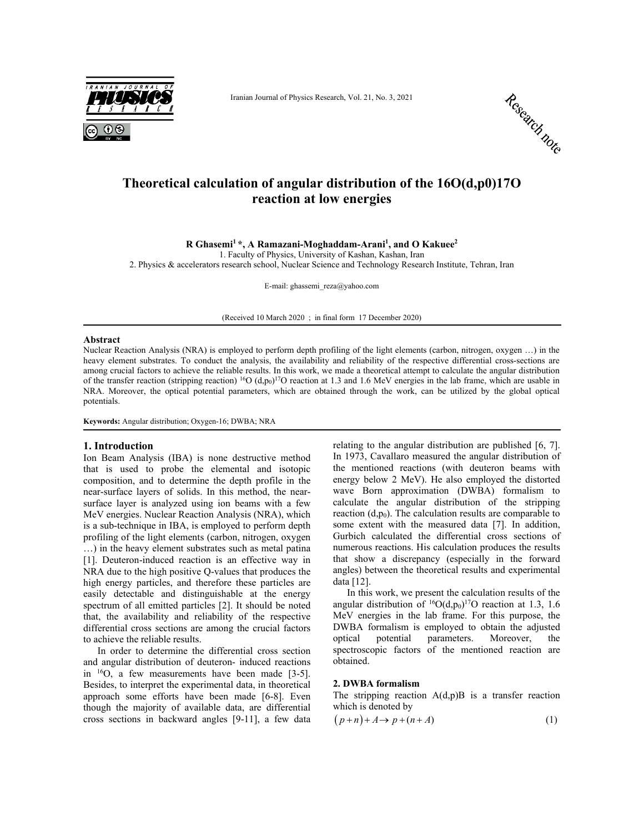

Iranian Journal of Physics Research, Vol. 21, No. 3, 2021



# **Theoretical calculation of angular distribution of the 16O(d,p0)17O reaction at low energies**

**R Ghasemi1 \*, A Ramazani-Moghaddam-Arani1 , and O Kakuee2** 

1. Faculty of Physics, University of Kashan, Kashan, Iran

2. Physics & accelerators research school, Nuclear Science and Technology Research Institute, Tehran, Iran

E-mail: ghassemi\_reza@yahoo.com

(Received 10 March 2020 ; in final form 17 December 2020)

#### **Abstract**

Nuclear Reaction Analysis (NRA) is employed to perform depth profiling of the light elements (carbon, nitrogen, oxygen …) in the heavy element substrates. To conduct the analysis, the availability and reliability of the respective differential cross-sections are among crucial factors to achieve the reliable results. In this work, we made a theoretical attempt to calculate the angular distribution of the transfer reaction (stripping reaction) <sup>16</sup>O (d,p<sub>0</sub>)<sup>17</sup>O reaction at 1.3 and 1.6 MeV energies in the lab frame, which are usable in NRA. Moreover, the optical potential parameters, which are obtained through the work, can be utilized by the global optical potentials.

**Keywords:** Angular distribution; Oxygen-16; DWBA; NRA

## **1. Introduction**

Ion Beam Analysis (IBA) is none destructive method that is used to probe the elemental and isotopic composition, and to determine the depth profile in the near-surface layers of solids. In this method, the nearsurface layer is analyzed using ion beams with a few MeV energies. Nuclear Reaction Analysis (NRA), which is a sub-technique in IBA, is employed to perform depth profiling of the light elements (carbon, nitrogen, oxygen …) in the heavy element substrates such as metal patina [1]. Deuteron-induced reaction is an effective way in NRA due to the high positive Q-values that produces the high energy particles, and therefore these particles are easily detectable and distinguishable at the energy spectrum of all emitted particles [2]. It should be noted that, the availability and reliability of the respective differential cross sections are among the crucial factors to achieve the reliable results.

In order to determine the differential cross section and angular distribution of deuteron- induced reactions in 16O, a few measurements have been made [3-5]. Besides, to interpret the experimental data, in theoretical approach some efforts have been made [6-8]. Even though the majority of available data, are differential cross sections in backward angles [9-11], a few data relating to the angular distribution are published [6, 7]. In 1973, Cavallaro measured the angular distribution of the mentioned reactions (with deuteron beams with energy below 2 MeV). He also employed the distorted wave Born approximation (DWBA) formalism to calculate the angular distribution of the stripping reaction  $(d, p_0)$ . The calculation results are comparable to some extent with the measured data [7]. In addition, Gurbich calculated the differential cross sections of numerous reactions. His calculation produces the results that show a discrepancy (especially in the forward angles) between the theoretical results and experimental data [12].

In this work, we present the calculation results of the angular distribution of  ${}^{16}O(d,p_0){}^{17}O$  reaction at 1.3, 1.6 MeV energies in the lab frame. For this purpose, the DWBA formalism is employed to obtain the adjusted optical potential parameters. Moreover, the spectroscopic factors of the mentioned reaction are obtained.

### **2. DWBA formalism**

The stripping reaction  $A(d,p)B$  is a transfer reaction which is denoted by

$$
(p+n)+A \to p+(n+A) \tag{1}
$$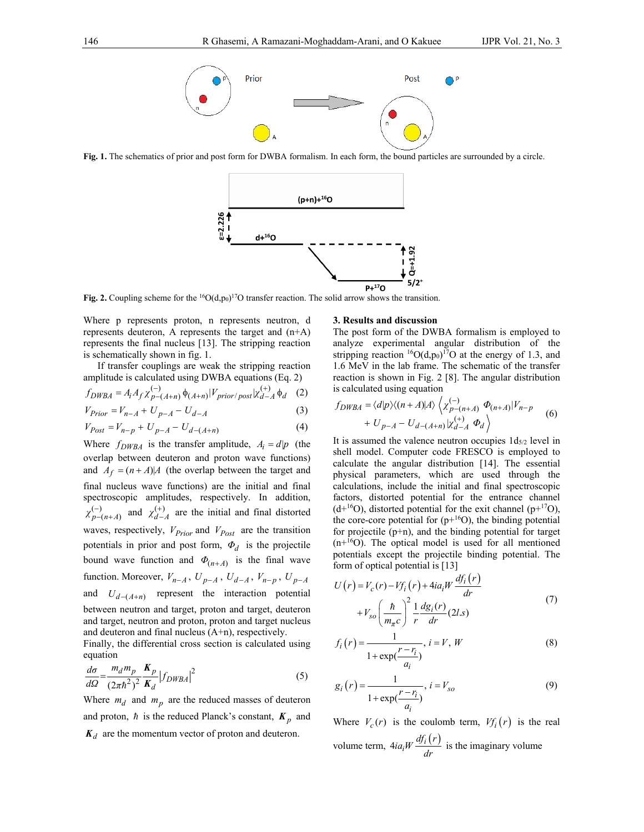

**Fig. 1.** The schematics of prior and post form for DWBA formalism. In each form, the bound particles are surrounded by a circle.



**Fig. 2.** Coupling scheme for the <sup>16</sup>O( $d, p_0$ )<sup>17</sup>O transfer reaction. The solid arrow shows the transition.

Where p represents proton, n represents neutron, d represents deuteron, A represents the target and  $(n+A)$ represents the final nucleus [13]. The stripping reaction is schematically shown in fig. 1.

If transfer couplings are weak the stripping reaction amplitude is calculated using DWBA equations (Eq. 2)

$$
f_{DWBA} = A_i A_f \chi_{p-(A+n)}^{(-)} \phi_{(A+n)} |V_{prior/post}| \chi_{d-A}^{(+)} \phi_d \quad (2)
$$

$$
V_{Prior} = V_{n-A} + U_{p-A} - U_{d-A} \tag{3}
$$

$$
V_{Post} = V_{n-p} + U_{p-A} - U_{d-(A+n)}
$$
\n(4)

Where  $f_{DWBA}$  is the transfer amplitude,  $A_i = d|p$  (the overlap between deuteron and proton wave functions) and  $A_f = (n + A)A$  (the overlap between the target and final nucleus wave functions) are the initial and final spectroscopic amplitudes, respectively. In addition,  $(-)$ <br>p-(n+A)  $\chi_{p-(n+A)}^{(-)}$  and  $\chi_{d-A}^{(+)}$  are the initial and final distorted waves, respectively,  $V_{Prior}$  and  $V_{Post}$  are the transition potentials in prior and post form, *Φd* is the projectile bound wave function and  $\Phi_{(n+A)}$  is the final wave function. Moreover,  $V_{n-A}$ ,  $U_{p-A}$ ,  $U_{d-A}$ ,  $V_{n-p}$ ,  $U_{p-A}$ and  $U_{d-(A+n)}$  represent the interaction potential between neutron and target, proton and target, deuteron and target, neutron and proton, proton and target nucleus and deuteron and final nucleus (A+n), respectively.

Finally, the differential cross section is calculated using equation

$$
\frac{d\sigma}{d\Omega} = \frac{m_d m_p}{(2\pi\hbar^2)^2} \frac{K_p}{K_d} \left| f_{DWBA} \right|^2 \tag{5}
$$

Where  $m_d$  and  $m_p$  are the reduced masses of deuteron and proton,  $\hbar$  is the reduced Planck's constant,  $K_p$  and  $K_d$  are the momentum vector of proton and deuteron.

#### **3. Results and discussion**

The post form of the DWBA formalism is employed to analyze experimental angular distribution of the stripping reaction  ${}^{16}O(d,p_0)$ <sup>17</sup>O at the energy of 1.3, and 1.6 MeV in the lab frame. The schematic of the transfer reaction is shown in Fig. 2 [8]. The angular distribution is calculated using equation

$$
f_{DWBA} = \langle d|p\rangle \langle (n+A)|A\rangle \langle \chi_{p-(n+A)}^{(-)} \Phi_{(n+A)} |V_{n-p} - V_{p-A} - U_{d-(A+n)} | \chi_{d-A}^{(+)} \Phi_d \rangle
$$
 (6)

It is assumed the valence neutron occupies  $1d_{5/2}$  level in shell model. Computer code FRESCO is employed to calculate the angular distribution [14]. The essential physical parameters, which are used through the calculations, include the initial and final spectroscopic factors, distorted potential for the entrance channel  $(d+16O)$ , distorted potential for the exit channel  $(p+17O)$ , the core-core potential for  $(p+16O)$ , the binding potential for projectile (p+n), and the binding potential for target  $(n+16O)$ . The optical model is used for all mentioned potentials except the projectile binding potential. The form of optical potential is [13]

$$
U(r) = V_c(r) - Vf_i(r) + 4ia_iW \frac{df_i(r)}{dr}
$$
  
+ 
$$
V_{so} \left(\frac{\hbar}{m_{\pi}c}\right)^2 \frac{1}{r} \frac{dg_i(r)}{dr} (2l.s)
$$
 (7)

$$
f_i(r) = \frac{1}{1 + \exp(\frac{r - r_i}{a_i})}, i = V, W
$$
\n
$$
(8)
$$

$$
g_i(r) = \frac{1}{1 + \exp(\frac{r - r_i}{a_i})}, i = V_{so}
$$
 (9)

Where  $V_c(r)$  is the coulomb term,  $V_f(r)$  is the real volume term,  $4ia_iW \frac{df_i(r)}{dr}$  is the imaginary volume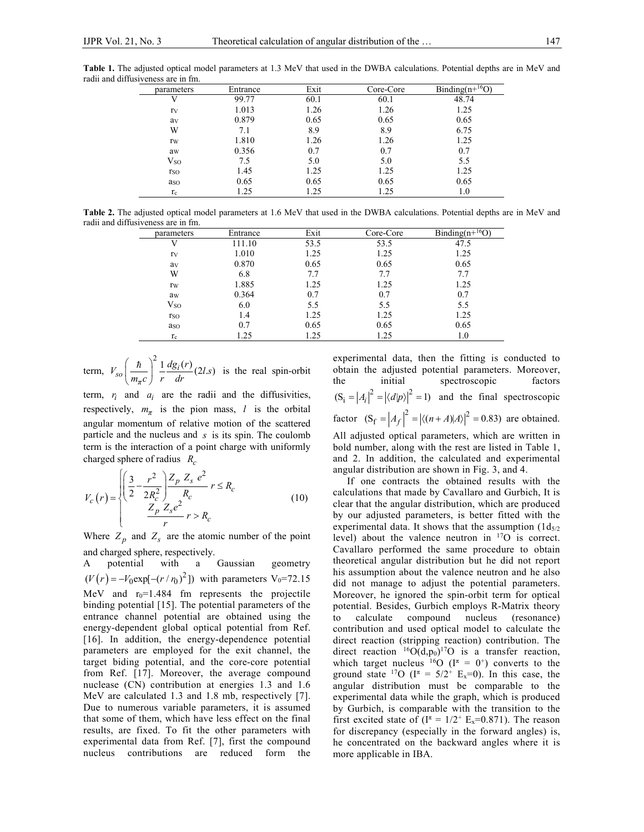**Table 1.** The adjusted optical model parameters at 1.3 MeV that used in the DWBA calculations. Potential depths are in MeV and radii and diffusiveness are in fm.

| parameters  | Entrance | Exit | Core-Core | Binding $(n+{}^{16}O)$ |
|-------------|----------|------|-----------|------------------------|
| V           | 99.77    | 60.1 | 60.1      | 48.74                  |
| rv          | 1.013    | 1.26 | 1.26      | 1.25                   |
| av          | 0.879    | 0.65 | 0.65      | 0.65                   |
| W           | 7.1      | 8.9  | 8.9       | 6.75                   |
| rw          | 1.810    | 1.26 | 1.26      | 1.25                   |
| aw          | 0.356    | 0.7  | 0.7       | 0.7                    |
| $V_{SO}$    | 7.5      | 5.0  | 5.0       | 5.5                    |
| <b>r</b> so | 1.45     | 1.25 | 1.25      | 1.25                   |
| aso         | 0.65     | 0.65 | 0.65      | 0.65                   |
| $r_c$       | 1.25     | 1.25 | 1.25      | 1.0                    |

**Table 2.** The adjusted optical model parameters at 1.6 MeV that used in the DWBA calculations. Potential depths are in MeV and radii and diffusiveness are in fm.

| parameters   | Entrance | Exit | Core-Core | Binding( $n+16$ O) |
|--------------|----------|------|-----------|--------------------|
| V            | 111.10   | 53.5 | 53.5      | 47.5               |
| rv           | 1.010    | 1.25 | 1.25      | 1.25               |
| av           | 0.870    | 0.65 | 0.65      | 0.65               |
| W            | 6.8      | 7.7  | 7.7       | 7.7                |
| rw           | 1.885    | 1.25 | 1.25      | 1.25               |
| aw           | 0.364    | 0.7  | 0.7       | 0.7                |
| $\rm V_{SO}$ | 6.0      | 5.5  | 5.5       | 5.5                |
| rso          | 1.4      | 1.25 | 1.25      | 1.25               |
| aso          | 0.7      | 0.65 | 0.65      | 0.65               |
| $r_c$        | 1.25     | 1.25 | 1.25      | 1.0                |

term,  $V_{so}$  $\left(\frac{\hbar}{m_{\pi}c}\right)^2 \frac{1}{r} \frac{dg_i(r)}{dr}$  (2*l.s*) is the real spin-orbit

term,  $r_i$  and  $a_i$  are the radii and the diffusivities, respectively,  $m_{\pi}$  is the pion mass, *l* is the orbital angular momentum of relative motion of the scattered particle and the nucleus and *s* is its spin. The coulomb term is the interaction of a point charge with uniformly charged sphere of radius  $R_c$ 

$$
V_c(r) = \begin{cases} \left(\frac{3}{2} - \frac{r^2}{2R_c^2}\right) \frac{Z_p}{Z_s} \frac{Z_s e^2}{R_c} & r \le R_c\\ \frac{Z_p}{Z_s e^2} & r > R_c \end{cases}
$$
(10)

Where  $Z_p$  and  $Z_s$  are the atomic number of the point and charged sphere, respectively.

A potential with a Gaussian geometry  $(V(r) = -V_0 \exp[-(r/r_0)^2])$  with parameters V<sub>0</sub>=72.15 MeV and  $r_0$ =1.484 fm represents the projectile binding potential [15]. The potential parameters of the entrance channel potential are obtained using the energy-dependent global optical potential from Ref. [16]. In addition, the energy-dependence potential parameters are employed for the exit channel, the target biding potential, and the core-core potential from Ref. [17]. Moreover, the average compound nuclease (CN) contribution at energies 1.3 and 1.6 MeV are calculated 1.3 and 1.8 mb, respectively [7]. Due to numerous variable parameters, it is assumed that some of them, which have less effect on the final results, are fixed. To fit the other parameters with experimental data from Ref. [7], first the compound nucleus contributions are reduced form the

experimental data, then the fitting is conducted to obtain the adjusted potential parameters. Moreover, the initial spectroscopic factors  $(S_i = |A_i|^2 = |\langle d|p \rangle|^2 = 1)$  and the final spectroscopic factor  $(S_f = |A_f|^2 = |\langle (n+A) | A \rangle|^2 = 0.83$  are obtained. All adjusted optical parameters, which are written in bold number, along with the rest are listed in Table 1, and 2. In addition, the calculated and experimental angular distribution are shown in Fig. 3, and 4.

If one contracts the obtained results with the calculations that made by Cavallaro and Gurbich, It is clear that the angular distribution, which are produced by our adjusted parameters, is better fitted with the experimental data. It shows that the assumption  $(1d_{5/2})$ level) about the valence neutron in 17O is correct. Cavallaro performed the same procedure to obtain theoretical angular distribution but he did not report his assumption about the valence neutron and he also did not manage to adjust the potential parameters. Moreover, he ignored the spin-orbit term for optical potential. Besides, Gurbich employs R-Matrix theory to calculate compound nucleus (resonance) contribution and used optical model to calculate the direct reaction (stripping reaction) contribution. The direct reaction  ${}^{16}O(d,p_0){}^{17}O$  is a transfer reaction, which target nucleus <sup>16</sup>O ( $I^{\pi} = 0^{+}$ ) converts to the ground state <sup>17</sup>O ( $I^{\pi} = 5/2^{+}$  E<sub>x</sub>=0). In this case, the angular distribution must be comparable to the experimental data while the graph, which is produced by Gurbich, is comparable with the transition to the first excited state of  $(I^{\pi} = 1/2^+ E_x = 0.871)$ . The reason for discrepancy (especially in the forward angles) is, he concentrated on the backward angles where it is more applicable in IBA.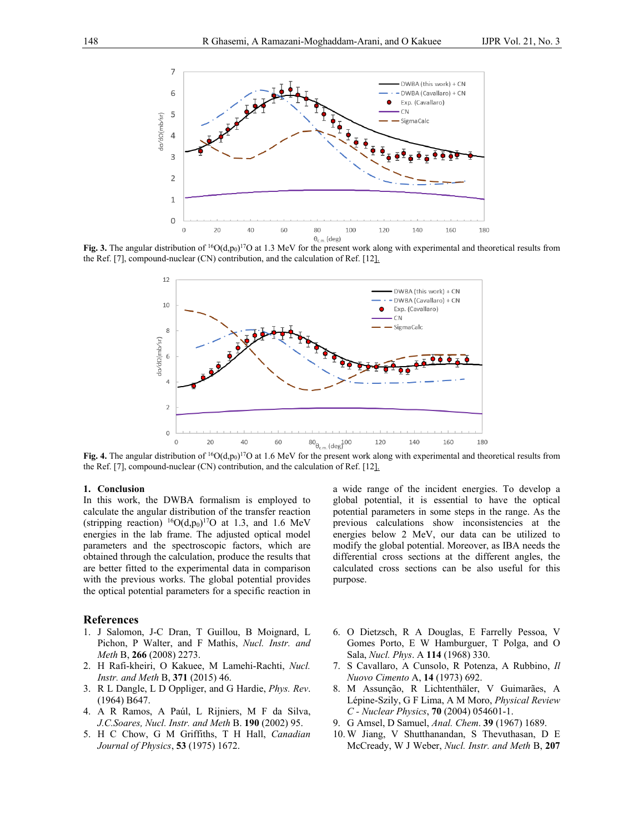

Fig. 3. The angular distribution of  ${}^{16}O(d, p_0)$ <sup>17</sup>O at 1.3 MeV for the present work along with experimental and theoretical results from the Ref. [7], compound-nuclear (CN) contribution, and the calculation of Ref. [12].



Fig. 4. The angular distribution of  ${}^{16}O(d, p_0)$ <sup>17</sup>O at 1.6 MeV for the present work along with experimental and theoretical results from the Ref. [7], compound-nuclear (CN) contribution, and the calculation of Ref. [12].

## **1. Conclusion**

In this work, the DWBA formalism is employed to calculate the angular distribution of the transfer reaction (stripping reaction)  ${}^{16}O(d,p_0){}^{17}O$  at 1.3, and 1.6 MeV energies in the lab frame. The adjusted optical model parameters and the spectroscopic factors, which are obtained through the calculation, produce the results that are better fitted to the experimental data in comparison with the previous works. The global potential provides the optical potential parameters for a specific reaction in

### **References**

- 1. J Salomon, J-C Dran, T Guillou, B Moignard, L Pichon, P Walter, and F Mathis, *Nucl. Instr. and Meth* B, **266** (2008) 2273.
- 2. H Rafi-kheiri, O Kakuee, M Lamehi-Rachti, *Nucl. Instr. and Meth* B, **371** (2015) 46.
- 3. R L Dangle, L D Oppliger, and G Hardie, *Phys. Rev*. (1964) B647.
- 4. A R Ramos, A Paúl, L Rijniers, M F da Silva, *J.C.Soares, Nucl. Instr. and Meth* B. **190** (2002) 95.
- 5. H C Chow, G M Griffiths, T H Hall, *Canadian Journal of Physics*, **53** (1975) 1672.

a wide range of the incident energies. To develop a global potential, it is essential to have the optical potential parameters in some steps in the range. As the previous calculations show inconsistencies at the energies below 2 MeV, our data can be utilized to modify the global potential. Moreover, as IBA needs the differential cross sections at the different angles, the calculated cross sections can be also useful for this purpose.

- 6. O Dietzsch, R A Douglas, E Farrelly Pessoa, V Gomes Porto, E W Hamburguer, T Polga, and O Sala, *Nucl. Phys*. A **114** (1968) 330.
- 7. S Cavallaro, A Cunsolo, R Potenza, A Rubbino, *Il Nuovo Cimento* A, **14** (1973) 692.
- 8. M Assunção, R Lichtenthäler, V Guimarães, A Lépine-Szily, G F Lima, A M Moro, *Physical Review C - Nuclear Physics*, **70** (2004) 054601-1.
- 9. G Amsel, D Samuel, *Anal. Chem*. **39** (1967) 1689.
- 10. W Jiang, V Shutthanandan, S Thevuthasan, D E McCready, W J Weber, *Nucl. Instr. and Meth* B, **207**